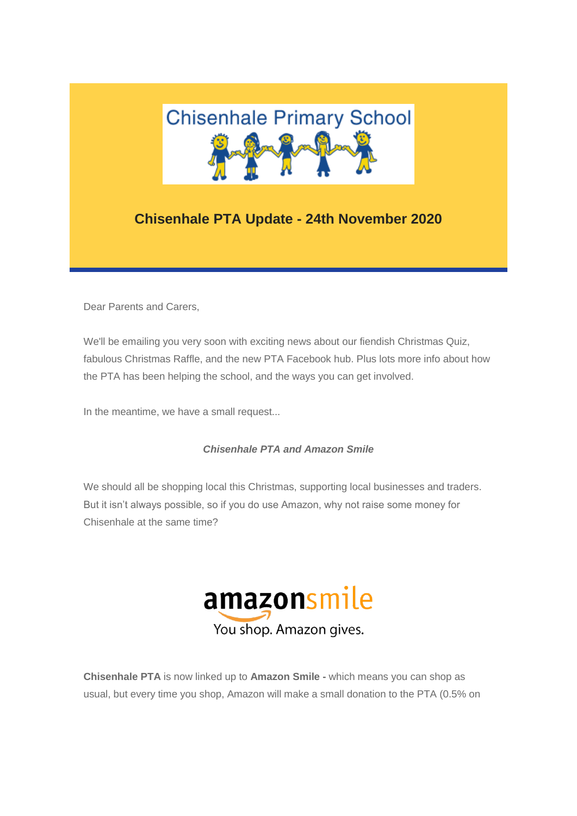

## **Chisenhale PTA Update - 24th November 2020**

Dear Parents and Carers,

We'll be emailing you very soon with exciting news about our fiendish Christmas Quiz, fabulous Christmas Raffle, and the new PTA Facebook hub. Plus lots more info about how the PTA has been helping the school, and the ways you can get involved.

In the meantime, we have a small request...

## *Chisenhale PTA and Amazon Smile*

We should all be shopping local this Christmas, supporting local businesses and traders. But it isn't always possible, so if you do use Amazon, why not raise some money for Chisenhale at the same time?



**Chisenhale PTA** is now linked up to **Amazon Smile -** which means you can shop as usual, but every time you shop, Amazon will make a small donation to the PTA (0.5% on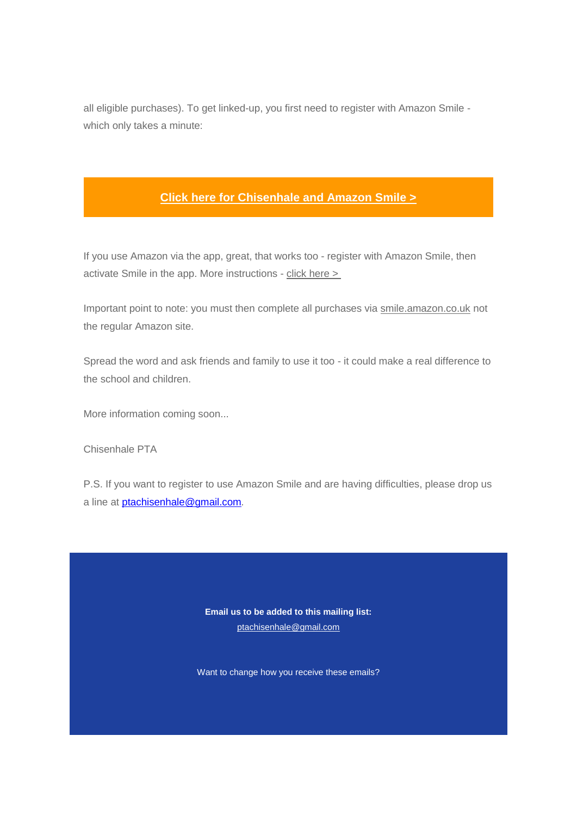all eligible purchases). To get linked-up, you first need to register with Amazon Smile which only takes a minute:

## **[Click here for Chisenhale and Amazon Smile >](https://gmail.us4.list-manage.com/track/click?u=1b6061503c774c4e18092b369&id=27066e9b5c&e=289443b6c0)**

If you use Amazon via the app, great, that works too - register with Amazon Smile, then activate Smile in the app. More instructions - [click here >](https://gmail.us4.list-manage.com/track/click?u=1b6061503c774c4e18092b369&id=194e726a67&e=289443b6c0)

Important point to note: you must then complete all purchases via [smile.amazon.co.uk](https://gmail.us4.list-manage.com/track/click?u=1b6061503c774c4e18092b369&id=e99b01d846&e=289443b6c0) not the regular Amazon site.

Spread the word and ask friends and family to use it too - it could make a real difference to the school and children.

More information coming soon...

Chisenhale PTA

P.S. If you want to register to use Amazon Smile and are having difficulties, please drop us a line at [ptachisenhale@gmail.com](mailto:ptachisenhale@gmail.com)*.*

> **Email us to be added to this mailing list:** [ptachisenhale@gmail.com](mailto:aclear2.211@lgflmail.org)

Want to change how you receive these emails?